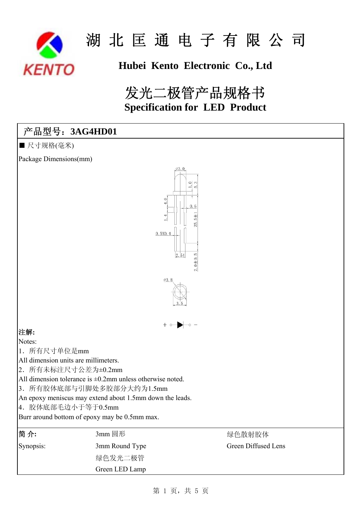

## **Hubei Kento Electronic Co., Ltd**

## 发光二极管产品规格书  **Specification for LED Product**

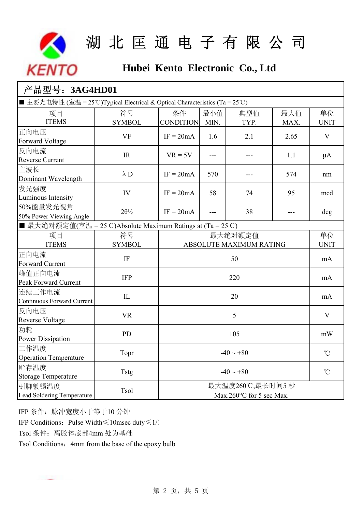

## **Hubei Kento Electronic Co., Ltd**

| 产品型号: 3AG4HD01                                                               |                      |                                             |             |                   |                 |                   |  |  |
|------------------------------------------------------------------------------|----------------------|---------------------------------------------|-------------|-------------------|-----------------|-------------------|--|--|
| ■ 主要光电特性 (室温 = 25°C)Typical Electrical & Optical Characteristics (Ta = 25°C) |                      |                                             |             |                   |                 |                   |  |  |
| 项目<br><b>ITEMS</b>                                                           | 符号<br><b>SYMBOL</b>  | 条件<br><b>CONDITION</b>                      | 最小值<br>MIN. | 典型值<br>TYP.       | 最大值<br>MAX.     | 单位<br><b>UNIT</b> |  |  |
| 正向电压<br>Forward Voltage                                                      | <b>VF</b>            | $IF = 20mA$                                 | 1.6         | 2.1               | 2.65            | $\mathbf{V}$      |  |  |
| 反向电流<br><b>Reverse Current</b>                                               | <b>IR</b>            | $VR = 5V$                                   | ---         |                   | 1.1             | $\mu A$           |  |  |
| 主波长<br>Dominant Wavelength                                                   | $\lambda$ D          | $IF = 20mA$                                 | 570         |                   | 574             | nm                |  |  |
| 发光强度<br>Luminous Intensity                                                   | IV                   | $IF = 20mA$                                 | 58          | 74                | 95              | mcd               |  |  |
| 50%能量发光视角<br>50% Power Viewing Angle                                         | $2\theta\frac{1}{2}$ | $IF = 20mA$                                 | $---$       | 38                | ---             | deg               |  |  |
| ■ 最大绝对额定值(室温 = 25℃)Absolute Maximum Ratings at (Ta = 25℃)                    |                      |                                             |             |                   |                 |                   |  |  |
| 项目<br><b>ITEMS</b>                                                           | 符号<br><b>SYMBOL</b>  | 最大绝对额定值<br>ABSOLUTE MAXIMUM RATING          |             | 单位<br><b>UNIT</b> |                 |                   |  |  |
| 正向电流<br><b>Forward Current</b>                                               | IF                   | 50                                          |             |                   | mA              |                   |  |  |
| 峰值正向电流<br>Peak Forward Current                                               | <b>IFP</b>           | 220                                         |             |                   | mA              |                   |  |  |
| 连续工作电流<br><b>Continuous Forward Current</b>                                  | IL                   | 20                                          |             |                   | mA              |                   |  |  |
| 反向电压<br><b>Reverse Voltage</b>                                               | <b>VR</b>            | 5                                           |             |                   | $\mathbf{V}$    |                   |  |  |
| 功耗<br><b>Power Dissipation</b>                                               | PD                   | 105                                         |             |                   | mW              |                   |  |  |
| 工作温度<br><b>Operation Temperature</b>                                         | Topr                 | $-40 \sim +80$                              |             |                   | $\rm ^{\circ}C$ |                   |  |  |
| 贮存温度<br><b>Storage Temperature</b>                                           | <b>Tstg</b>          | $-40 \sim +80$                              |             |                   | $\rm ^{\circ}C$ |                   |  |  |
| 引脚镀锡温度<br>Lead Soldering Temperature                                         | Tsol                 | 最大温度260℃,最长时间5秒<br>Max.260°C for 5 sec Max. |             |                   |                 |                   |  |  |

IFP 条件:脉冲宽度小于等于10 分钟

IFP Conditions:Pulse Width≤10msec duty≤1/1

Tsol 条件: 离胶体底部4mm 处为基础

Tsol Conditions: 4mm from the base of the epoxy bulb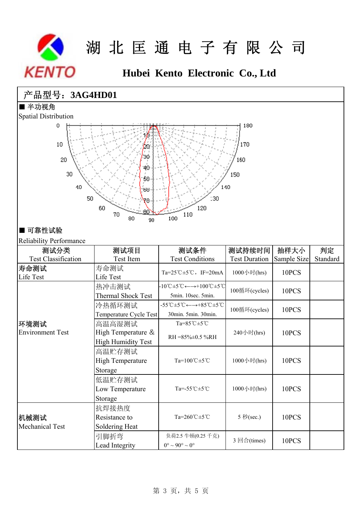

## **Hubei Kento Electronic Co., Ltd**

### 产品型号:**3AG4HD01**

■ 半功视角



### ■ 可靠性试验

Reliability Performance

| Renadhity Periormance      |                           |                                                                                                               |                      |             |          |
|----------------------------|---------------------------|---------------------------------------------------------------------------------------------------------------|----------------------|-------------|----------|
| 测试分类                       | 测试项目                      | 测试条件                                                                                                          | 测试持续时间               | 抽样大小        | 判定       |
| <b>Test Classification</b> | Test Item                 | <b>Test Conditions</b>                                                                                        | <b>Test Duration</b> | Sample Size | Standard |
| 寿命测试                       | 寿命测试                      | Ta=25°C $\pm$ 5°C, IF=20mA                                                                                    | 1000小时(hrs)          | 10PCS       |          |
| Life Test                  | Life Test                 |                                                                                                               |                      |             |          |
|                            | 热冲击测试                     | $-10^{\circ}\text{C} \pm 5^{\circ}\text{C} \leftarrow \rightarrow +100^{\circ}\text{C} \pm 5^{\circ}\text{C}$ | 100循环(cycles)        | 10PCS       |          |
|                            | <b>Thermal Shock Test</b> | 5min. 10sec. 5min.                                                                                            |                      |             |          |
|                            | 冷热循环测试                    | $-55^{\circ}$ C $\pm 5^{\circ}$ C $\leftarrow \rightarrow +85^{\circ}$ C $\pm 5^{\circ}$ C                    | 100循环(cycles)        | 10PCS       |          |
|                            | Temperature Cycle Test    | 30min. 5min. 30min.                                                                                           |                      |             |          |
| 环境测试                       | 高温高湿测试                    | $Ta=85^{\circ}C\pm5^{\circ}C$                                                                                 |                      | 10PCS       |          |
| <b>Environment Test</b>    | High Temperature &        | $RH = 85\% \pm 0.5\% RH$                                                                                      | 240小时(hrs)           |             |          |
|                            | <b>High Humidity Test</b> |                                                                                                               |                      |             |          |
|                            | 高温贮存测试                    |                                                                                                               |                      | 10PCS       |          |
|                            | <b>High Temperature</b>   | Ta=100℃±5℃                                                                                                    | 1000小时(hrs)          |             |          |
|                            | Storage                   |                                                                                                               |                      |             |          |
|                            | 低温贮存测试                    |                                                                                                               |                      | 10PCS       |          |
|                            | Low Temperature           | Ta=-55°C±5°C                                                                                                  | 1000小时(hrs)          |             |          |
|                            | Storage                   |                                                                                                               |                      |             |          |
|                            | 抗焊接热度                     |                                                                                                               | 5 秒(sec.)            | 10PCS       |          |
| 机械测试                       | Resistance to             | Ta=260°C±5°C                                                                                                  |                      |             |          |
| Mechanical Test            | Soldering Heat            |                                                                                                               |                      |             |          |
|                            | 引脚折弯                      | 负荷2.5 牛顿(0.25 千克)                                                                                             |                      | 10PCS       |          |
|                            | Lead Integrity            | 3 回合(times)<br>$0^{\circ} \sim 90^{\circ} \sim 0^{\circ}$                                                     |                      |             |          |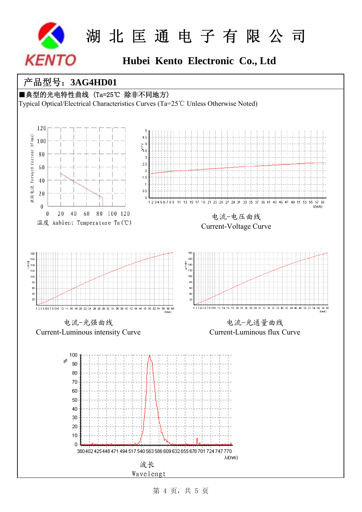

## **Hubei Kento Electronic Co., Ltd**

### 产品型号:**3AG4HD01**

■典型的光电特性曲线 (Ta=25℃ 除非不同地方)

Typical Optical/Electrical Characteristics Curves (Ta=25℃ Unless Otherwise Noted)



第 4 页, 共 5 页